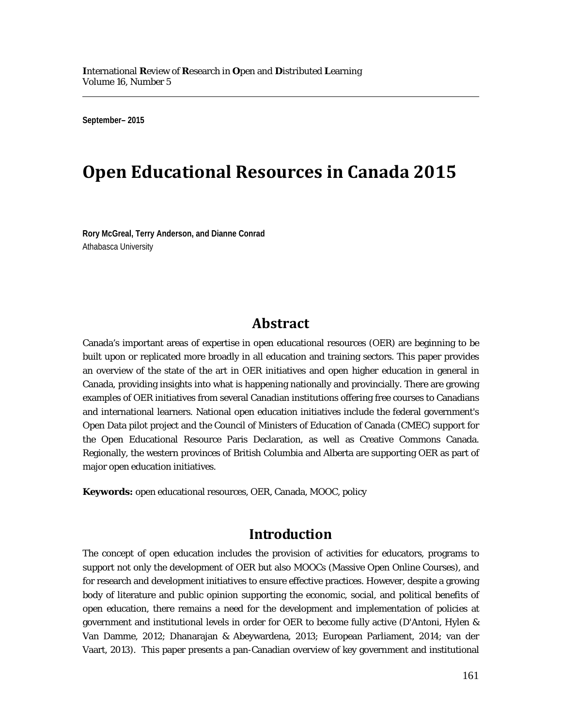**September– 2015**

# **Open Educational Resources in Canada 2015**

**Rory McGreal, Terry Anderson, and Dianne Conrad** Athabasca University

### **Abstract**

Canada's important areas of expertise in open educational resources (OER) are beginning to be built upon or replicated more broadly in all education and training sectors. This paper provides an overview of the state of the art in OER initiatives and open higher education in general in Canada, providing insights into what is happening nationally and provincially. There are growing examples of OER initiatives from several Canadian institutions offering free courses to Canadians and international learners. National open education initiatives include the federal government's Open Data pilot project and the Council of Ministers of Education of Canada (CMEC) support for the Open Educational Resource Paris Declaration, as well as Creative Commons Canada. Regionally, the western provinces of British Columbia and Alberta are supporting OER as part of major open education initiatives.

**Keywords:** open educational resources, OER, Canada, MOOC, policy

### **Introduction**

The concept of open education includes the provision of activities for educators, programs to support not only the development of OER but also MOOCs (Massive Open Online Courses), and for research and development initiatives to ensure effective practices. However, despite a growing body of literature and public opinion supporting the economic, social, and political benefits of open education, there remains a need for the development and implementation of policies at government and institutional levels in order for OER to become fully active (D'Antoni, Hylen & Van Damme, 2012; Dhanarajan & Abeywardena, 2013; European Parliament, 2014; van der Vaart, 2013). This paper presents a pan-Canadian overview of key government and institutional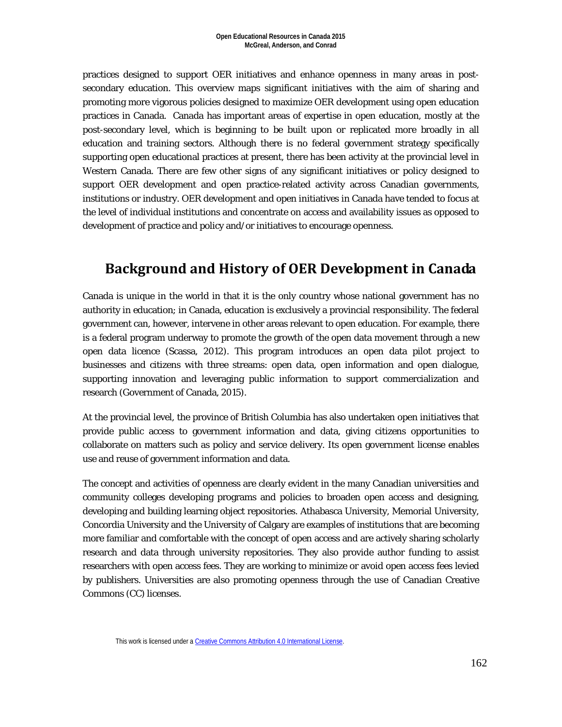practices designed to support OER initiatives and enhance openness in many areas in postsecondary education. This overview maps significant initiatives with the aim of sharing and promoting more vigorous policies designed to maximize OER development using open education practices in Canada. Canada has important areas of expertise in open education, mostly at the post-secondary level, which is beginning to be built upon or replicated more broadly in all education and training sectors. Although there is no federal government strategy specifically supporting open educational practices at present, there has been activity at the provincial level in Western Canada. There are few other signs of any significant initiatives or policy designed to support OER development and open practice-related activity across Canadian governments, institutions or industry. OER development and open initiatives in Canada have tended to focus at the level of individual institutions and concentrate on access and availability issues as opposed to development of practice and policy and/or initiatives to encourage openness.

## **Background and History of OER Development in Canada**

Canada is unique in the world in that it is the only country whose national government has no authority in education; in Canada, education is exclusively a provincial responsibility. The federal government can, however, intervene in other areas relevant to open education. For example, there is a federal program underway to promote the growth of the open data movement through a new open data licence (Scassa, 2012). This program introduces an open data pilot project to businesses and citizens with three streams: open data, open information and open dialogue, supporting innovation and leveraging public information to support commercialization and research (Government of Canada, 2015).

At the provincial level, the province of British Columbia has also undertaken open initiatives that provide public access to government information and data, giving citizens opportunities to collaborate on matters such as policy and service delivery. Its open government license enables use and reuse of government information and data.

The concept and activities of openness are clearly evident in the many Canadian universities and community colleges developing programs and policies to broaden open access and designing, developing and building learning object repositories. Athabasca University, Memorial University, Concordia University and the University of Calgary are examples of institutions that are becoming more familiar and comfortable with the concept of open access and are actively sharing scholarly research and data through university repositories. They also provide author funding to assist researchers with open access fees. They are working to minimize or avoid open access fees levied by publishers. Universities are also promoting openness through the use of Canadian Creative Commons (CC) licenses.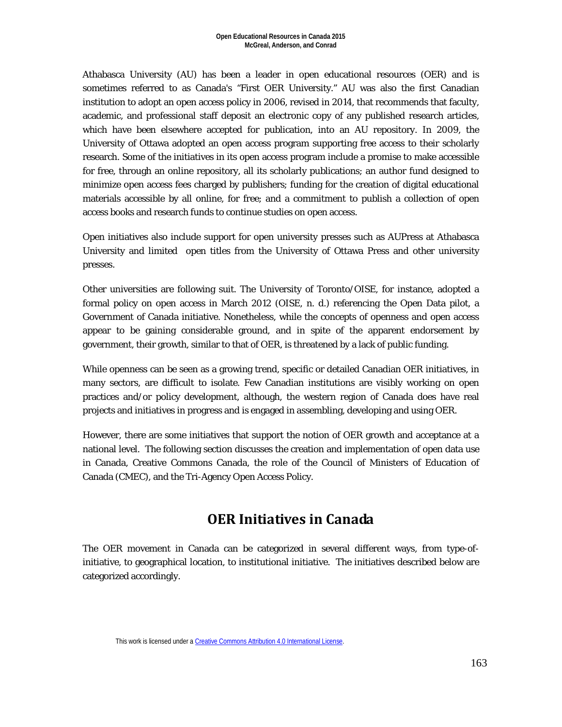Athabasca University (AU) has been a leader in open educational resources (OER) and is sometimes referred to as Canada's "First OER University." AU was also the first Canadian institution to adopt an open access policy in 2006, revised in 2014, that recommends that faculty, academic, and professional staff deposit an electronic copy of any published research articles, which have been elsewhere accepted for publication, into an AU repository. In 2009, the University of Ottawa adopted [an open access program supporting free access to their scholarly](http://scholarlycommunication.uottawa.ca/)  [research.](http://scholarlycommunication.uottawa.ca/) Some of the initiatives in its open access program include a promise to make accessible for free, through an online repository, all its scholarly publications; an author fund designed to minimize open access fees charged by publishers; funding for the creation of digital educational materials accessible by all online, for free; and a commitment to publish a collection of open access books and research funds to continue studies on open access.

Open initiatives also include support for open university presses such as AUPress at Athabasca University and limited open titles from the [University of Ottawa Press](http://www.press.uottawa.ca/) and other university presses.

Other universities are following suit. The University of Toronto/OISE, for instance, adopted a [formal](http://www.oise.utoronto.ca/research/UserFiles/File/OA_Policy.pdf) policy on open access in March 2012 (OISE, n. d.) referencing the Open Data pilot, a Government of Canada initiative. Nonetheless, while the concepts of openness and open access appear to be gaining considerable ground, and in spite of the apparent endorsement by government, their growth, similar to that of OER, is threatened by a lack of public funding.

While openness can be seen as a growing trend, specific or detailed Canadian OER initiatives, in many sectors, are difficult to isolate. Few Canadian institutions are visibly working on open practices and/or policy development, although, the western region of Canada does have real projects and initiatives in progress and is engaged in assembling, developing and using OER.

However, there are some initiatives that support the notion of OER growth and acceptance at a national level. The following section discusses the creation and implementation of open data use in Canada, Creative Commons Canada, the role of the Council of Ministers of Education of Canada (CMEC), and the Tri-Agency Open Access Policy.

## **OER Initiatives in Canada**

The OER movement in Canada can be categorized in several different ways, from type-ofinitiative, to geographical location, to institutional initiative. The initiatives described below are categorized accordingly.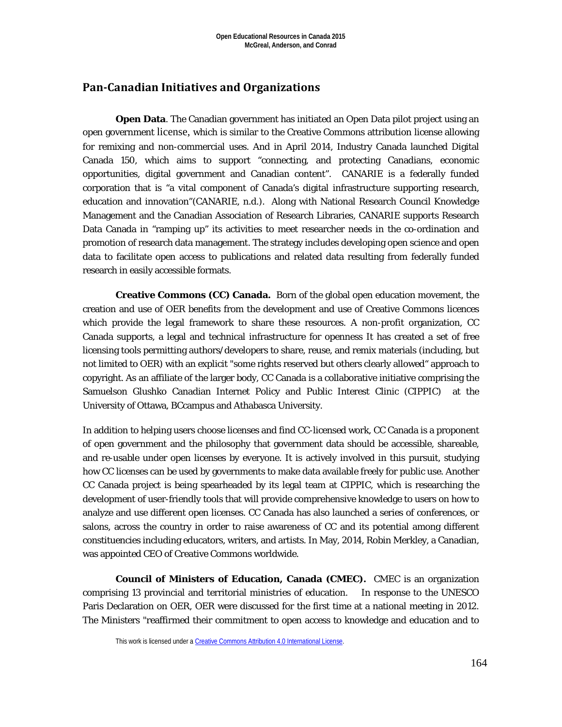#### **Pan-Canadian Initiatives and Organizations**

**Open Data**. The Canadian government has initiated an [Open](http://data.gc.ca/eng/content/open-data) Data pilot project using an open government license, which is similar to the Creative Commons attribution license allowing for remixing and non-commercial uses. And in April 2014, Industry Canada launched Digital Canada 150, which aims to support "connecting, and protecting Canadians, economic opportunities, digital government and Canadian content". CANARIE is a federally funded corporation that is "a vital component of Canada's digital infrastructure supporting research, education and innovation"(CANARIE, n.d.). Along with [National Research Council Knowledge](http://cisti-icist.nrc-cnrc.gc.ca/eng/services/cisti/knowledge-management/index.html)  [Management](http://cisti-icist.nrc-cnrc.gc.ca/eng/services/cisti/knowledge-management/index.html) and the [Canadian Association of Research Libraries,](http://www.carl-abrc.ca/en.html) CANARIE supports [Research](http://rds-sdr.cisti-icist.nrc-cnrc.gc.ca/eng/)  [Data Canada](http://rds-sdr.cisti-icist.nrc-cnrc.gc.ca/eng/) in "ramping up" its activities to meet researcher needs in the co-ordination and promotion of research data management. The strategy includes developing open science and open data to facilitate open access to publications and related data resulting from federally funded research in easily accessible formats.

**Creative Commons (CC) Canada.** Born of the global open education movement, the creation and use of OER benefits from the development and use of [Creative Commons](http://poerup.referata.com/wiki/Creative_Commons) licences which provide the legal framework to share these resources. A non-profit organization, CC Canada supports, a legal and technical infrastructure for openness It has created a set of free licensing tools permitting authors/developers to share, reuse, and remix materials (including, but not limited to OER) with an explicit "some rights reserved but others clearly allowed" approach to copyright. As an affiliate of the larger body, CC Canada is a collaborative initiative comprising the [Samuelson Glushko Canadian Internet Policy and Public Interest Clinic \(CIPPIC\)](http://www.cippic.ca/) at the University of Ottawa, BCcampus and Athabasca University.

In addition to helping users choose licenses and find CC-licensed work, CC Canada is a proponent of open government and the philosophy that government data should be accessible, shareable, and re-usable under open licenses by everyone. It is actively involved in this pursuit, studying how CC licenses can be used by governments to make data available freely for public use. Another CC Canada project is being spearheaded by its legal team at CIPPIC, which is researching the development of user-friendly tools that will provide comprehensive knowledge to users on how to analyze and use different open licenses. CC Canada has also launched a series of conferences, or salons, across the country in order to raise awareness of CC and its potential among different constituencies including educators, writers, and artists. In May, 2014, Robin Merkley, a Canadian, was appointed CEO of Creative Commons worldwide.

**Council of Ministers of Education, Canada (CMEC).** [CMEC](http://www.cmec.ca/en/) is an organization comprising 13 provincial and territorial ministries of education. In response to the UNESCO Paris Declaration on OER, OER were discussed for the first time at a national meeting in 2012. The Ministers "reaffirmed their commitment to open access to knowledge and education and to

This work is licensed under [a Creative Commons Attribution 4.0 International License.](http://creativecommons.org/licenses/by/4.0/)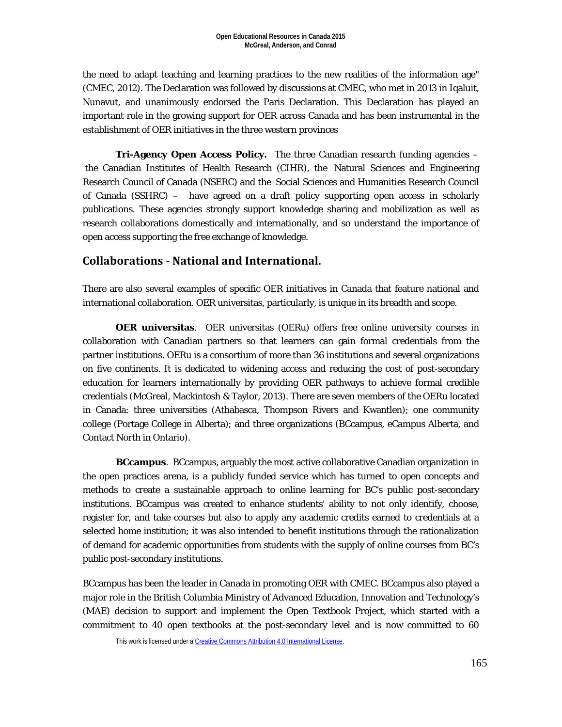the need to adapt teaching and learning practices to the new realities of the information age" (CMEC, 2012). The Declaration was followed by discussions at CMEC, who met in 2013 in Iqaluit, Nunavut, and unanimously endorsed the [Paris Declaration.](http://www.unesco.org/new/.../HQ/CI/.../Paris%20OER%20Declaration_01.pdf) This Declaration has played an important role in the growing support for OER across Canada and has been instrumental in the establishment of OER initiatives in the three western provinces

**Tri-Agency Open Access Policy.** The three Canadian research funding agencies – the [Canadian Institutes of Health Research](http://www.cihr-irsc.gc.ca/e/193.html) (CIHR), the [Natural Sciences and Engineering](http://www.nserc-crsng.gc.ca/index_eng.asp)  [Research Council of Canada](http://www.nserc-crsng.gc.ca/index_eng.asp) (NSERC) and the [Social Sciences and Humanities Research Council](http://www.sshrc-crsh.gc.ca/home-accueil-eng.aspx)  [of Canada](http://www.sshrc-crsh.gc.ca/home-accueil-eng.aspx) (SSHRC) – have agreed on a [draft policy](http://www.nserc-crsng.gc.ca/NSERC-CRSNG/policies-politiques/Tri-OA-Policy-Politique-LA-Trois_eng.asp) supporting open access in scholarly publications. These agencies strongly support knowledge sharing and mobilization as well as research collaborations domestically and internationally, and so understand the importance of open access supporting the free exchange of knowledge.

#### **Collaborations - National and International.**

There are also several examples of specific OER initiatives in Canada that feature national and international collaboration. OER universitas, particularly, is unique in its breadth and scope.

**OER universitas**. OER universitas (OERu) offers free online university courses in collaboration with Canadian partners so that learners can gain formal credentials from the partner institutions. OERu is a consortium of more than 36 institutions and several organizations on five continents. It is dedicated to widening access and reducing the cost of post-secondary education for learners internationally by providing OER pathways to achieve formal credible credentials (McGreal, Mackintosh & Taylor, 2013). There are seven members of the OERu located in Canada: three universities (Athabasca, Thompson Rivers and Kwantlen); one community college (Portage College in Alberta); and three organizations (BCcampus, eCampus Alberta, and Contact North in Ontario).

**BCcampus**. BCcampus, arguably the most active collaborative Canadian organization in the open practices arena, is a publicly funded service which has turned to open concepts and methods to create a sustainable approach to online learning for BC's public post-secondary institutions. BCcampus was created to enhance students' ability to not only identify, choose, register for, and take courses but also to apply any academic credits earned to credentials at a selected home institution; it was also intended to benefit institutions through the rationalization of demand for academic opportunities from students with the supply of online courses from BC's public post-secondary institutions.

BCcampus has been the leader in Canada in promoting OER with CMEC. BCcampus also played a major role in the British Columbia Ministry of Advanced Education, Innovation and Technology's (MAE) decision to support and implement the [Open Textbook Project,](http://bccampus.ca/open-textbook-project/) which started with a commitment to 40 open textbooks at the post-secondary level and is now committed to 60

This work is licensed under [a Creative Commons Attribution 4.0 International License.](http://creativecommons.org/licenses/by/4.0/)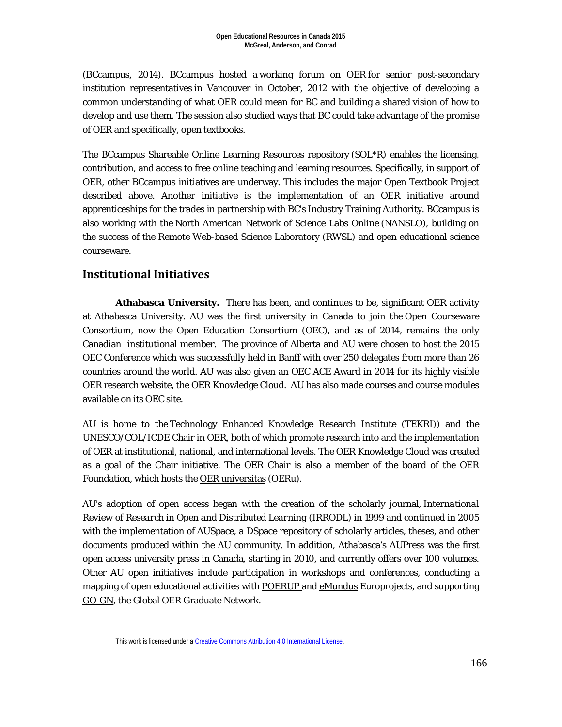(BCcampus, 2014). BCcampus hosted a [working forum on OER](http://open.bccampus.ca/2012/09/23/open-educational-resources-oer-forum-in-vancouver-october-18th/) for senior post-secondary institution representatives in Vancouver in October, 2012 with the objective of developing a common understanding of what OER could mean for BC and building a shared vision of how to develop and use them. The session also studied ways that BC could take advantage of the promise of OER and specifically, open textbooks.

The BCcampus [Shareable Online Learning Resources repository](http://solr.bccampus.ca/wp/) [\(SOL\\*R\)](http://solr.bccampus.ca/wp/) enables the licensing, contribution, and access to free online teaching and learning resources. Specifically, in support of OER, other BCcampus initiatives are underway. This includes the major [Open Textbook Project](http://bccampus.ca/open-textbook-project/) described above. Another initiative is the implementation of an OER initiative around apprenticeships for the trades in partnership with BC's [Industry Training Authority.](http://www.bccampus.ca/files/2013/08/TRADES-TRAINING-GOES-ONLINE-First-E-PPRENTICE-Programs-Announced.pdf) BCcampus is also working with the [North American Network of Science Labs Online](http://bccampus.ca/tag/rwsl/) (NANSLO), building on the success of the [Remote Web-based Science Laboratory](http://bccampus.ca/tag/rwsl/) (RWSL) and open educational science courseware.

#### **Institutional Initiatives**

**Athabasca University.** There has been, and continues to be, significant OER activity at Athabasca University. AU was the first university in Canada to join the [Open Courseware](http://www.ocwconsortium.org/)  [Consortium,](http://www.ocwconsortium.org/) now the Open Education Consortium (OEC), and as of 2014, remains the only Canadian institutional member. The province of Alberta and AU were chosen to host the 2015 OEC Conference which was successfully held in Banff with over 250 delegates from more than 26 countries around the world. AU was also given an OEC ACE Award in 2014 for its highly visible OER research website, the [OER Knowledge Cloud.](http://oerknowledgecloud.org/) AU has also made courses and course modules available on its OEC site.

AU is home to the [Technology Enhanced Knowledge Research Institute \(TEKRI\)\)](https://tekri.athabascau.ca/) and the [UNESCO/COL/ICDE Chair in OER,](http://unescochair.athabascau.ca/) both of which promote research into and the implementation of OER at institutional, national, and international levels. The [OER Knowledge Cloud](https://oerknowledgecloud.org/) was created as a goal of the Chair initiative. The OER Chair is also a member of the board of the [OER](http://wikieducator.org/OERF:Home)  [Foundation,](http://wikieducator.org/OERF:Home) which hosts the OER universitas (OERu).

AU's adoption of open access began with the creation of the scholarly journal, *[International](http://www.irrodl.org/)  [Review of Research in Open and Distributed Learning](http://www.irrodl.org/)* (IRRODL) in 1999 and continued in 2005 with the implementation of [AUSpace,](http://auspace.athabascau.ca/) a DSpace repository of scholarly articles, theses, and other documents produced within the AU community. In addition, Athabasca's [AUPress](http://www.aupress.ca/) was the first open access university press in Canada, starting in 2010, and currently offers over 100 volumes. Other AU open initiatives include participation in workshops and conferences, conducting a mapping of open educational activities with [POERUP](http://www.poerup.org/) [a](http://www.poerup.org/)nd [eMundus](http://wikieducator.org/Emundus/Home) Europrojects, and supporting [GO-GN,](http://oer-unescochair-ounl.ning.com/go-gn) the Global OER Graduate Network.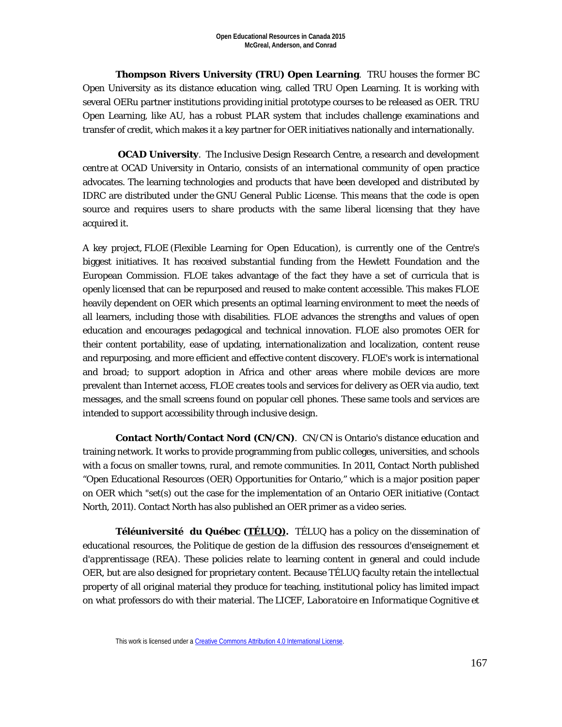**Thompson Rivers University (TRU) Open Learning**. TRU houses the former BC Open University as its distance education wing, called [TRU Open Learning.](http://www.tru.ca/distance.html) It is working with several OERu partner institutions providing [initial prototype courses](http://wikieducator.org/OER_university/Planning/OERu_2012_Prototype) to be released as OER. TRU Open Learning, like AU, has a robust [PLAR system](http://www.tru.ca/distance/plar-ol.html) that includes challenge examinations and transfer of credit, which makes it a key partner for OER initiatives nationally and internationally.

**OCAD University**. The Inclusive Design Research Centre, [a research and development](http://idrc.ocad.ca/index.php/about-the-idrc)  [centre](http://idrc.ocad.ca/index.php/about-the-idrc) at OCAD University in Ontario, consists of an international community of open practice advocates. The learning technologies and products that have been developed and distributed by IDRC are distributed under the [GNU General Public License.](http://www.gnu.org/licenses/gpl.html) This means that the code is open source and requires users to share products with the same liberal licensing that they have acquired it.

A key project, [FLOE](http://floeproject.org/) (Flexible Learning for Open Education), is currently one of the Centre's biggest initiatives. It has received substantial funding from the Hewlett Foundation and the European Commission. FLOE takes advantage of the fact they have a set of curricula that is openly licensed that can be repurposed and reused to make content accessible. This makes FLOE heavily dependent on OER which presents an optimal learning environment to meet the needs of all learners, including those with disabilities. FLOE advances the strengths and values of open education and encourages pedagogical and technical innovation. FLOE also promotes OER for their content portability, ease of updating, internationalization and localization, content reuse and repurposing, and more efficient and effective content discovery. FLOE's work is international and broad; to support adoption in Africa and other areas where mobile devices are more prevalent than Internet access, FLOE creates tools and services for delivery as OER via audio, text messages, and the small screens found on popular cell phones. These same tools and services are intended to support accessibility through inclusive design.

**[Contact North/](http://www.contactnorth.ca/)Contact Nord (CN/CN)**. CN/CN is Ontario's distance education and training network. It works to provide programming from public colleges, universities, and schools with a focus on smaller towns, rural, and remote communities. In 2011, Contact North published ["Open Educational Resources \(OER\) Opportunities for Ontario,](https://oerknowledgecloud.org/?q=content/open-educational-resources-oer-opportunities-ontario)" which is a major position paper on OER which "set(s) out the case for the implementation of an Ontario OER initiative (Contact North, 2011). Contact North has also published an [OER primer as a video series.](http://contactnorth.ca/tips-tools/open-educational-resources/videos)

**Téléuniversité du Québec [\(TÉLUQ\)](http://www.teluq.ca/).** [TÉLUQ](http://www.teluq.ca/) has a policy on the dissemination of educational resources, the *[Politique de gestion de la diffusion des ressources d'enseignement et](http://www.bdeb.qc.ca/fichiers/2013/10/polgrh-amendeca-16avril13-1.pdf)  [d'apprentissage](http://www.bdeb.qc.ca/fichiers/2013/10/polgrh-amendeca-16avril13-1.pdf) (REA).* These policies relate to learning content in general and could include OER, but are also designed for proprietary content. Because TÉLUQ faculty retain the intellectual property of all original material they produce for teaching, institutional policy has limited impact on what professors do with their material. *[The LICEF, Laboratoire en Informatique Cognitive et](http://www.licef.ca/)* 

This work is licensed under [a Creative Commons Attribution 4.0 International License.](http://creativecommons.org/licenses/by/4.0/)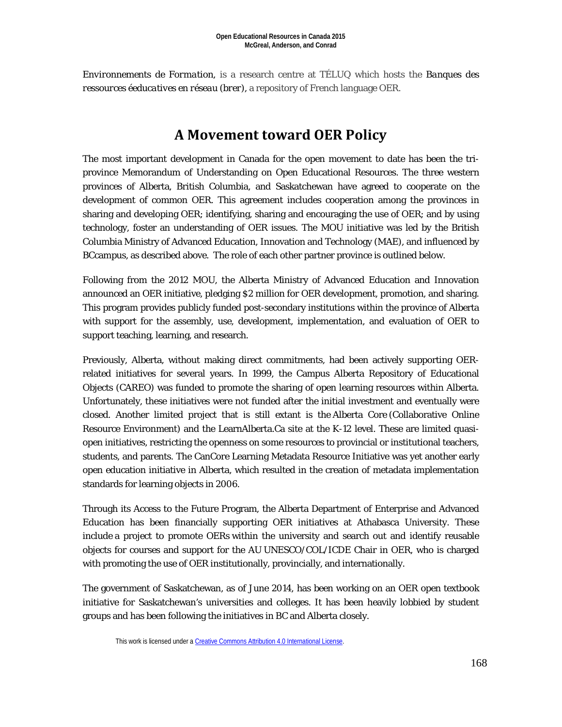*[Environnements de Formation,](http://www.licef.ca/)* is a research centre at TÉLUQ which hosts the *[Banques des](http://www.brer.ca/)  [ressources éeducatives en réseau](http://www.brer.ca/) (brer*), a repository of French language OER.

### **A Movement toward OER Policy**

The most important development in Canada for the open movement to date has been the triprovince [Memorandum of Understanding on Open Educational Resources.](http://www.gov.sk.ca/adx/aspx/adxGetMedia.aspx?mediaId=f3d342c4-ab61-44a4-9f96-71ceb7810a5d&PN=Shared) The three western provinces of Alberta, British Columbia, and Saskatchewan have agreed to cooperate on the development of common OER. This agreement includes cooperation among the provinces in sharing and developing OER; identifying, sharing and encouraging the use of OER; and by using technology, foster an understanding of OER issues. The MOU initiative was led by the British Columbia Ministry of Advanced Education, Innovation and Technology (MAE), and influenced by BCcampus, as described above. The role of each other partner province is outlined below.

Following from the 2012 MOU, the Alberta Ministry of Advanced Education and Innovation announced [an OER initiative,](http://alberta.ca/release.cfm?xID=361759413B5A0-D9D0-0BAB-223D46A8642B6F47) pledging \$2 million for OER development, promotion, and sharing. This program provides publicly funded post-secondary institutions within the province of Alberta with support for the assembly, use, development, implementation, and evaluation of OER to support teaching, learning, and research.

Previously, Alberta, without making direct commitments, had been actively supporting OERrelated initiatives for several years. In 1999, the Campus Alberta Repository of Educational Objects [\(CAREO\)](http://theguide.ntic.org/display_lo.php?oai_id=oai:eureka.ntic.org:4c99175698cbe7.29003580) was funded to promote the sharing of open learning resources within Alberta. Unfortunately, these initiatives were not funded after the initial investment and eventually were closed. Another limited project that is still extant is the [Alberta Core](https://www.albertacore.ca/access/home.do) (Collaborative Online Resource Environment) and the LearnAlberta.Ca site at the K-12 level. These are limited quasiopen initiatives, restricting the openness on some resources to provincial or institutional teachers, students, and parents. The [CanCore Learning Metadata Resource Initiative](http://cancore.athabascau.ca/en/) was yet another early open education initiative in Alberta, which resulted in the creation of metadata implementation standards for learning objects in 2006.

Through its [Access to the Future Program,](http://eae.alberta.ca/post-secondary/funding/supportsinstitutions/aff.aspx) the Alberta Department of Enterprise and Advanced Education has been financially supporting OER initiatives at Athabasca University. These include [a project to promote OERs](http://cldd.athabascau.ca/open-educational-resources/index.php) within the university and search out and identify reusable objects for courses and support for the AU [UNESCO/COL/ICDE Chair in OER,](http://unescochair.athabascau.ca/) who is charged with promoting the use of OER institutionally, provincially, and internationally.

The government of Saskatchewan, as of June 2014, has been working on an OER [open textbook](http://thesheaf.com/2014/03/20/u-of-s-commits-to-open-textbook-program/)  [initiative](http://thesheaf.com/2014/03/20/u-of-s-commits-to-open-textbook-program/) for Saskatchewan's universities and colleges. It has been heavily lobbied by student groups and has been following the initiatives in BC and Alberta closely.

This work is licensed under [a Creative Commons Attribution 4.0 International License.](http://creativecommons.org/licenses/by/4.0/)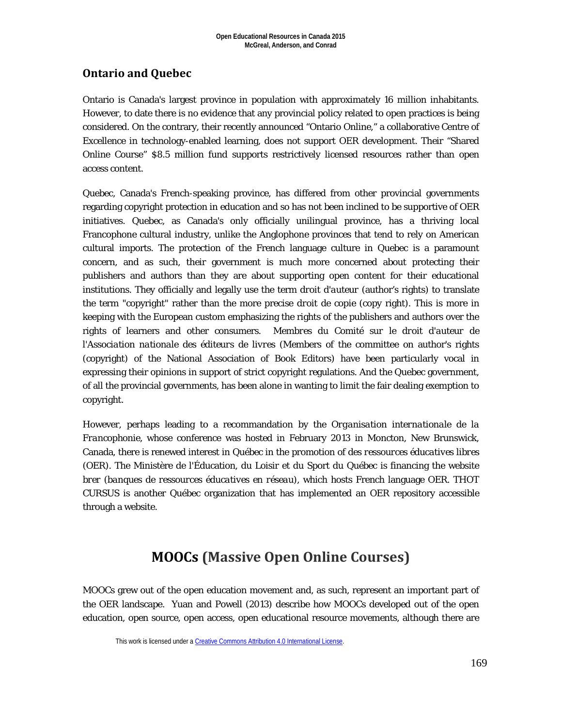### **Ontario and Quebec**

Ontario is Canada's largest province in population with approximately 16 million inhabitants. However, to date there is no evidence that any provincial policy related to open practices is being considered. On the contrary, their recently announced ["Ontario Online,](https://oerknowledgecloud.org/content/ontario-online-0)" a collaborative Centre of Excellence in technology-enabled learning, does not support OER development. Their ["Shared](https://oerknowledgecloud.org/content/ontario-online-0)  [Online Course"](https://oerknowledgecloud.org/content/ontario-online-0) \$8.5 million fund supports restrictively licensed resources rather than open access content.

Quebec, Canada's French-speaking province, has differed from other provincial governments regarding copyright protection in education and so has not been inclined to be supportive of OER initiatives. Quebec, as Canada's only officially unilingual province, has a thriving local Francophone cultural industry, unlike the Anglophone provinces that tend to rely on American cultural imports. The protection of the French language culture in Quebec is a paramount concern, and as such, their government is much more concerned about protecting their publishers and authors than they are about supporting open content for their educational institutions. They officially and legally use the term *[droit d'auteur](http://laws-lois.justice.gc.ca/fra/lois/C-42/)* (author's rights) to translate the term "copyright" rather than the more precise *droit de copie* (copy right). This is more in keeping with the European custom emphasizing the rights of the publishers and authors over the rights of learners and other consumers. *Membres du Comité sur le droit d'auteur de l'Association nationale des éditeurs de livres* (Members of the committee on author's rights (copyright) of the National Association of Book Editors) have been particularly vocal in expressing their opinions in support of strict copyright regulations. And the Quebec government, of all the provincial governments, has been alone in wanting to limit the fair dealing exemption to copyright.

However, perhaps leading to a recommandation by the *[Organisation internationale de la](http://www.francophonie.org/)  [Francophonie](http://www.francophonie.org/)*, whose conference was hosted in February 2013 in Moncton, New Brunswick, Canada, there is renewed interest in Québec in the promotion of *des ressources éducatives libres* (OER). The Ministère de l'Éducation, du Loisir et du Sport du Québec is financing the website *[brer \(banques de ressources éducatives en réseau](http://brer.licef.ca/index.php?option=com_content&view=article&id=34&Itemid=154)*), which hosts French language OER. THOT CURSUS is another Québec organization that has implemented an [OER repository](http://cursus.edu/institutions-formations-ressources/formation/20231/portail-ressources-educatives-libres/) accessible through a website.

## **MOOCs (Massive Open Online Courses)**

MOOCs grew out of the open education movement and, as such, represent an important part of the OER landscape. Yuan and Powell (2013) describe how MOOCs developed out of the open education, open source, open access, open educational resource movements, although there are

This work is licensed under [a Creative Commons Attribution 4.0 International License.](http://creativecommons.org/licenses/by/4.0/)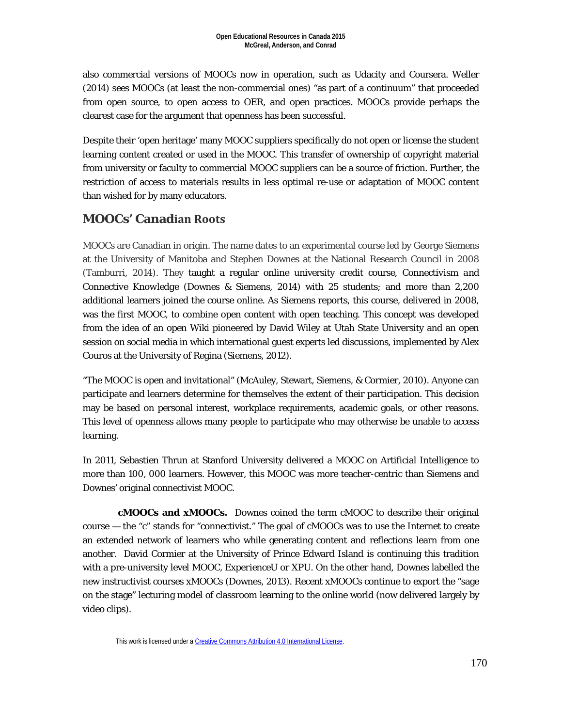also commercial versions of MOOCs now in operation, such as [Udacity](https://www.udacity.com/) and [Coursera.](https://www.coursera.org/) Weller (2014) sees MOOCs (at least the non-commercial ones) "as part of a continuum" that proceeded from open source, to open access to OER, and open practices. MOOCs provide perhaps the clearest case for the argument that openness has been successful.

Despite their 'open heritage' many MOOC suppliers specifically do not open or license the student learning content created or used in the MOOC. This transfer of ownership of copyright material from university or faculty to commercial MOOC suppliers can be a source of friction. Further, the restriction of access to materials results in less optimal re-use or adaptation of MOOC content than wished for by many educators.

### **MOOCs' Canadian Roots**

MOOCs are Canadian in origin. The name dates to an experimental course led by George Siemens at the University of Manitoba and Stephen Downes at the National Research Council in 2008 (Tamburri, 2014). They taught a regular online university credit course, *Connectivism and Connective Knowledge* (Downes & Siemens, 2014) with 25 students; and more than 2,200 additional learners joined the course online. As Siemens reports, this course, delivered in 2008, was the first MOOC, to combine open content with open teaching. This concept was developed from the idea of an open Wiki pioneered by David Wiley at Utah State University and an open session on social media in which international guest experts led discussions, implemented by Alex Couros at the University of Regina (Siemens, 2012).

"The MOOC is open and invitational" (McAuley, Stewart, Siemens, & Cormier, 2010). Anyone can participate and learners determine for themselves the extent of their participation. This decision may be based on personal interest, workplace requirements, academic goals, or other reasons. This level of openness allows many people to participate who may otherwise be unable to access learning.

In 2011, Sebastien Thrun at Stanford University delivered a MOOC on Artificial Intelligence to more than 100, 000 learners. However, this MOOC was more teacher-centric than Siemens and Downes' original connectivist MOOC.

**cMOOCs and xMOOCs.** Downes coined the term cMOOC to describe their original course — the "c" stands for "connectivist." The goal of cMOOCs was to use the Internet to create an extended network of learners who while generating content and reflections learn from one another. David Cormier at the University of Prince Edward Island is continuing this tradition with a pre-university level MOOC, *ExperienceU* or XPU. On the other hand, Downes labelled the new instructivist courses xMOOCs (Downes, 2013). Recent xMOOCs continue to export the "sage on the stage" lecturing model of classroom learning to the online world (now delivered largely by video clips).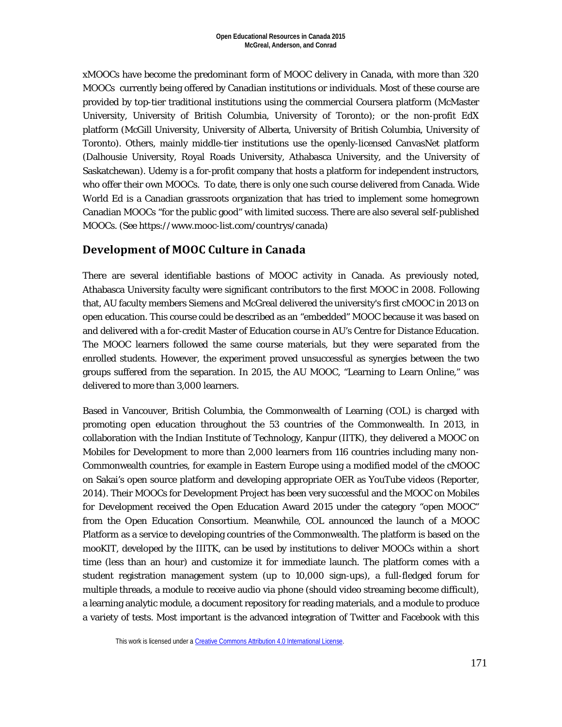xMOOCs have become the predominant form of MOOC delivery in Canada, with more than 320 MOOCs currently being offered by Canadian institutions or individuals. Most of these course are provided by top-tier traditional institutions using the commercial Coursera platform (McMaster University, University of British Columbia, University of Toronto); or the non-profit EdX platform (McGill University, University of Alberta, University of British Columbia, University of Toronto). Others, mainly middle-tier institutions use the openly-licensed CanvasNet platform (Dalhousie University, Royal Roads University, Athabasca University, and the University of Saskatchewan). [Udemy](https://www.udemy.com/) is a for-profit company that hosts a platform for independent instructors, who offer their own MOOCs. To date, there is only one such course delivered from Canada. [Wide](http://wideworlded.org/)  [World Ed](http://wideworlded.org/) is a Canadian grassroots organization that has tried to implement some homegrown Canadian MOOCs "for the public good" with limited success. There are also several self-published MOOCs. (See [https://www.mooc-list.com/countrys/canada\)](https://www.mooc-list.com/countrys/canada)

### **Development of MOOC Culture in Canada**

There are several identifiable bastions of MOOC activity in Canada. As previously noted, Athabasca University faculty were significant contributors to the first MOOC in 2008. Following that, AU faculty members Siemens and McGreal delivered the university's first cMOOC in 2013 on open education. This course could be described as an "embedded" MOOC because it was based on and delivered with a for-credit Master of Education course in AU's Centre for Distance Education. The MOOC learners followed the same course materials, but they were separated from the enrolled students. However, the experiment proved unsuccessful as synergies between the two groups suffered from the separation. In 2015, the AU MOOC, "Learning to Learn Online," was delivered to more than 3,000 learners.

Based in Vancouver, British Columbia, the [Commonwealth of Learning](http://www.col.org/) (COL) is charged with promoting open education throughout the 53 countries of the Commonwealth. In 2013, in collaboration with the [Indian Institute of Technology, Kanpur](http://www.iitk.ac.in/) (IITK), they delivered a MOOC on Mobiles for Development to more than 2,000 learners from 116 countries including many non-Commonwealth countries, for example in Eastern Europe using a modified model of the cMOOC on Sakai's open source platform and developing appropriate OER as YouTube videos (Reporter, 2014). Their [MOOCs for Development Project](http://mooc4dev.org/) has been very successful and the *MOOC on Mobiles for Development* received the Open Education Award 2015 under the category ["open MOOC"](http://www.oeconsortium.org/projects/open-education-awards-for-excellence/2015-winners-of-oe-awards/2015-oe-winners-site-course-categories/)  [from the Open Education Consortium.](http://www.oeconsortium.org/projects/open-education-awards-for-excellence/2015-winners-of-oe-awards/2015-oe-winners-site-course-categories/) Meanwhile, COL announced the launch of a MOOC Platform as a service to developing countries of the Commonwealth. The platform is based on the [mooKIT,](http://mookit.co/) developed by the IIITK, can be used by institutions to deliver MOOCs within a short time (less than an hour) and customize it for immediate launch. The platform comes with a student registration management system (up to 10,000 sign-ups), a full-fledged forum for multiple threads, a module to receive audio via phone (should video streaming become difficult), a learning analytic module, a document repository for reading materials, and a module to produce a variety of tests. Most important is the advanced integration of Twitter and Facebook with this

This work is licensed under [a Creative Commons Attribution 4.0 International License.](http://creativecommons.org/licenses/by/4.0/)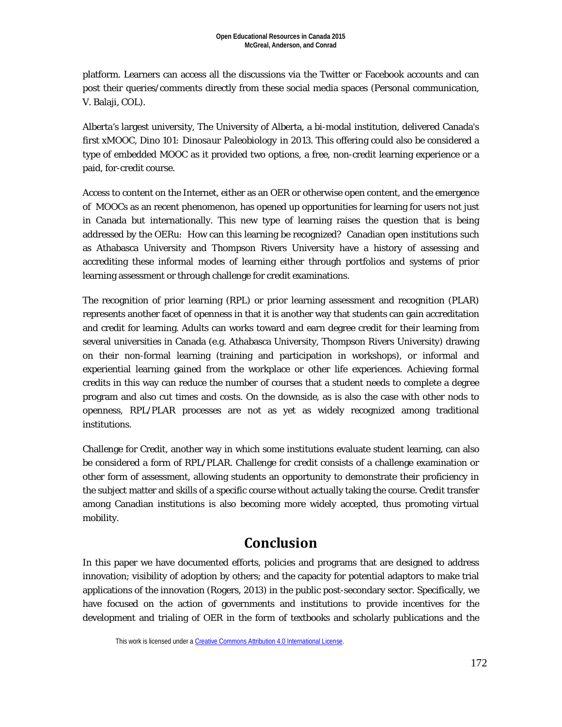platform. Learners can access all the discussions via the Twitter or Facebook accounts and can post their queries/comments directly from these social media spaces (Personal communication, V. Balaji, COL).

Alberta's largest university, The University of Alberta, a bi-modal institution, delivered Canada's first xMOOC, *Dino 101: Dinosaur Paleobiology in 2013.* This offering could also be considered a type of embedded MOOC as it provided two options, a free, non-credit learning experience or a paid, for-credit course.

Access to content on the Internet, either as an OER or otherwise open content, and the emergence of MOOCs as an recent phenomenon, has opened up opportunities for learning for users not just in Canada but internationally. This new type of learning raises the question that is being addressed by the OERu: How can this learning be recognized? Canadian open institutions such as Athabasca University and Thompson Rivers University have a history of assessing and accrediting these informal modes of learning either through portfolios and systems of prior learning assessment or through challenge for credit examinations.

The recognition of prior learning (RPL) or prior learning assessment and recognition (PLAR) represents another facet of openness in that it is another way that students can gain accreditation and credit for learning. Adults can works toward and earn degree credit for their learning from several universities in Canada (e.g. [Athabasca University,](http://priorlearning.athabascau.ca/index.php) [Thompson Rivers University\)](http://www.tru.ca/distance/plar-ol.html) drawing on their non-formal learning (training and participation in workshops), or informal and experiential learning gained from the workplace or other life experiences. Achieving formal credits in this way can reduce the number of courses that a student needs to complete a degree program and also cut times and costs. On the downside, as is also the case with other nods to openness, RPL/PLAR processes are not as yet as widely recognized among traditional institutions.

Challenge for Credit, another way in which some institutions evaluate student learning, can also be considered a form of RPL/PLAR. Challenge for credit consists of a challenge examination or other form of assessment, allowing students an opportunity to demonstrate their proficiency in the subject matter and skills of a specific course without actually taking the course. Credit transfer among Canadian institutions is also becoming more widely accepted, thus promoting virtual mobility.

### **Conclusion**

In this paper we have documented efforts, policies and programs that are designed to address innovation; visibility of adoption by others; and the capacity for potential adaptors to make trial applications of the innovation (Rogers, 2013) in the public post-secondary sector. Specifically, we have focused on the action of governments and institutions to provide incentives for the development and trialing of OER in the form of textbooks and scholarly publications and the

This work is licensed under [a Creative Commons Attribution 4.0 International License.](http://creativecommons.org/licenses/by/4.0/)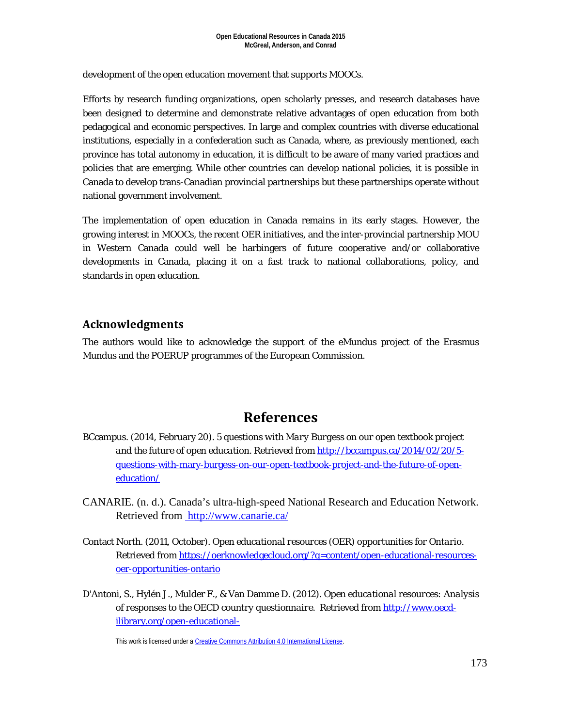development of the open education movement that supports MOOCs.

Efforts by research funding organizations, open scholarly presses, and research databases have been designed to determine and demonstrate relative advantages of open education from both pedagogical and economic perspectives. In large and complex countries with diverse educational institutions, especially in a confederation such as Canada, where, as previously mentioned, each province has total autonomy in education, it is difficult to be aware of many varied practices and policies that are emerging. While other countries can develop national policies, it is possible in Canada to develop trans-Canadian provincial partnerships but these partnerships operate without national government involvement.

The implementation of open education in Canada remains in its early stages. However, the growing interest in MOOCs, the recent OER initiatives, and the inter-provincial partnership MOU in Western Canada could well be harbingers of future cooperative and/or collaborative developments in Canada, placing it on a fast track to national collaborations, policy, and standards in open education.

#### **Acknowledgments**

The authors would like to acknowledge the support of the eMundus project of the Erasmus Mundus and the POERUP programmes of the European Commission.

### **References**

- BCcampus. (2014, February 20). *5 questions with Mary Burgess on our open textbook project and the future of open education*. Retrieved fro[m http://bccampus.ca/2014/02/20/5](http://bccampus.ca/2014/02/20/5-questions-with-mary-burgess-on-our-open-textbook-project-and-the-future-of-open-education/) [questions-with-mary-burgess-on-our-open-textbook-project-and-the-future-of-open](http://bccampus.ca/2014/02/20/5-questions-with-mary-burgess-on-our-open-textbook-project-and-the-future-of-open-education/)[education/](http://bccampus.ca/2014/02/20/5-questions-with-mary-burgess-on-our-open-textbook-project-and-the-future-of-open-education/)
- CANARIE. (n. d.). Canada's ultra-high-speed National Research and Education Network. Retrieved from <http://www.canarie.ca/>
- Contact North. (2011, October). *Open educational resources (OER) opportunities for Ontario*. Retrieved from [https://oerknowledgecloud.org/?q=content/open-educational-resources](https://oerknowledgecloud.org/?q=content/open-educational-resources-oer-opportunities-ontario)[oer-opportunities-ontario](https://oerknowledgecloud.org/?q=content/open-educational-resources-oer-opportunities-ontario)
- D'Antoni, S., Hylén J., Mulder F., & Van Damme D. (2012). *Open educational resources: Analysis of responses to the OECD country questionnaire.* Retrieved from [http://www.oecd](http://www.oecd-ilibrary.org/open-educational-resources_5k990rjhvtlv.pdf?contentType=/ns/WorkingPaper&itemId=/content/workingpaper/5k990rjhvtlv-en&containerItemId=/content/workingpaperseries/)[ilibrary.org/open-educational-](http://www.oecd-ilibrary.org/open-educational-resources_5k990rjhvtlv.pdf?contentType=/ns/WorkingPaper&itemId=/content/workingpaper/5k990rjhvtlv-en&containerItemId=/content/workingpaperseries/)

This work is licensed under [a Creative Commons Attribution 4.0 International License.](http://creativecommons.org/licenses/by/4.0/)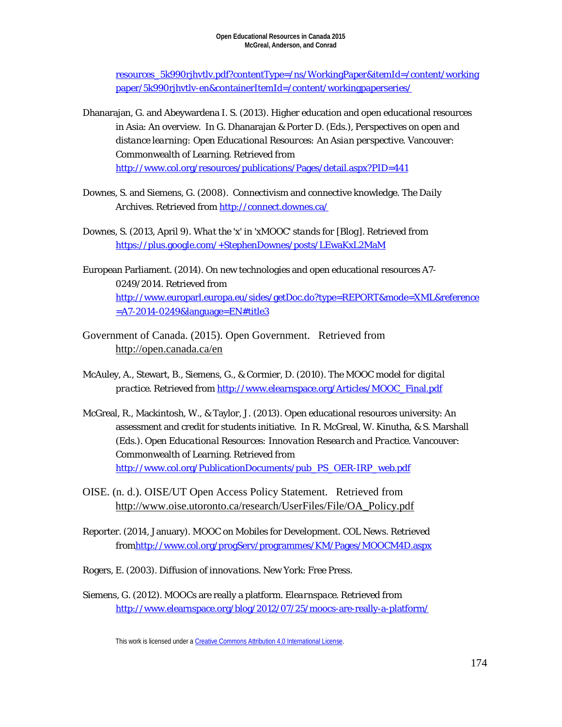[resources\\_5k990rjhvtlv.pdf?contentType=/ns/WorkingPaper&itemId=/content/working](http://www.oecd-ilibrary.org/open-educational-resources_5k990rjhvtlv.pdf?contentType=/ns/WorkingPaper&itemId=/content/workingpaper/5k990rjhvtlv-en&containerItemId=/content/workingpaperseries/) [paper/5k990rjhvtlv-en&containerItemId=/content/workingpaperseries/](http://www.oecd-ilibrary.org/open-educational-resources_5k990rjhvtlv.pdf?contentType=/ns/WorkingPaper&itemId=/content/workingpaper/5k990rjhvtlv-en&containerItemId=/content/workingpaperseries/)

- Dhanarajan, G. and Abeywardena I. S. (2013). Higher education and open educational resources in Asia: An overview. In G. Dhanarajan & Porter D. (Eds.), *Perspectives on open and distance learning: Open Educational Resources: An Asian perspective.* Vancouver: Commonwealth of Learning. Retrieved from <http://www.col.org/resources/publications/Pages/detail.aspx?PID=441>
- Downes, S. and Siemens, G. (2008). Connectivism and connective knowledge. *The Daily Archives*. Retrieved from<http://connect.downes.ca/>
- Downes, S. (2013, April 9). *What the 'x' in 'xMOOC' stands for [Blog]*. Retrieved from <https://plus.google.com/+StephenDownes/posts/LEwaKxL2MaM>
- European Parliament. (2014). On new technologies and open educational resources *A7- 0249/2014.* Retrieved from [http://www.europarl.europa.eu/sides/getDoc.do?type=REPORT&mode=XML&reference](http://www.europarl.europa.eu/sides/getDoc.do?type=REPORT&mode=XML&reference=A7-2014-0249&language=EN#title3)  $=$ A7-2014-0249&language=EN#title3
- Government of Canada. (2015). Open Government. Retrieved from <http://open.canada.ca/en>
- McAuley, A., Stewart, B., Siemens, G., & Cormier, D. (2010). *The MOOC model for digital practice.* Retrieved fro[m http://www.elearnspace.org/Articles/MOOC\\_Final.pdf](http://www.elearnspace.org/Articles/MOOC_Final.pdf)
- McGreal, R., Mackintosh, W., & Taylor, J. (2013). Open educational resources university: An assessment and credit for students initiative. In R. McGreal, W. Kinutha, & S. Marshall (Eds.). *Open Educational Resources: Innovation Research and Practice.* Vancouver: Commonwealth of Learning. Retrieved from [http://www.col.org/PublicationDocuments/pub\\_PS\\_OER-IRP\\_web.pdf](http://www.col.org/PublicationDocuments/pub_PS_OER-IRP_web.pdf.)
- OISE. (n. d.). OISE/UT Open Access Policy Statement. Retrieved from [http://www.oise.utoronto.ca/research/UserFiles/File/OA\\_Policy.pdf](http://www.oise.utoronto.ca/research/UserFiles/File/OA_Policy.pdf)
- Reporter. (2014, January). MOOC on Mobiles for Development. *COL News*. Retrieved fro[mhttp://www.col.org/progServ/programmes/KM/Pages/MOOCM4D.aspx](http://www.col.org/progServ/programmes/KM/Pages/MOOCM4D.aspx)
- Rogers, E. (2003). *Diffusion of innovations*. New York: Free Press.
- Siemens, G. (2012). MOOCs are really a platform. *Elearnspace*. Retrieved from <http://www.elearnspace.org/blog/2012/07/25/moocs-are-really-a-platform/>

This work is licensed under [a Creative Commons Attribution 4.0 International License.](http://creativecommons.org/licenses/by/4.0/)